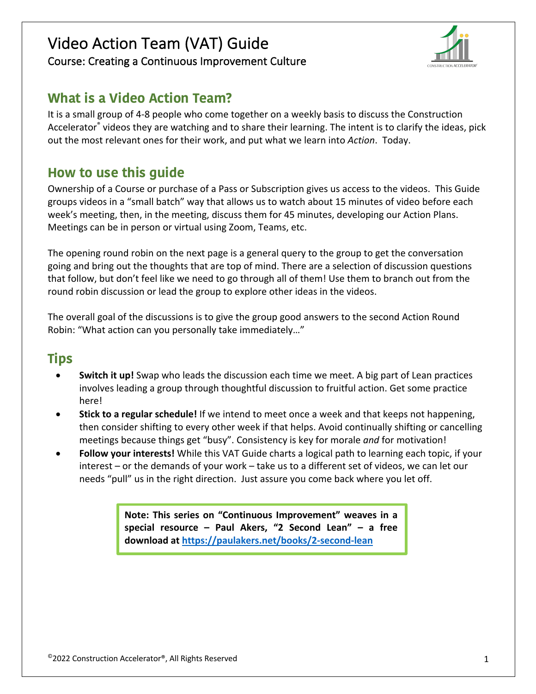# Video Action Team (VAT) Guide Course: Creating a Continuous Improvement Culture



# **What is a Video Action Team?**

It is a small group of 4-8 people who come together on a weekly basis to discuss the Construction Accelerator® videos they are watching and to share their learning. The intent is to clarify the ideas, pick out the most relevant ones for their work, and put what we learn into *Action*. Today.

## **How to use this guide**

Ownership of a Course or purchase of a Pass or Subscription gives us access to the videos. This Guide groups videos in a "small batch" way that allows us to watch about 15 minutes of video before each week's meeting, then, in the meeting, discuss them for 45 minutes, developing our Action Plans. Meetings can be in person or virtual using Zoom, Teams, etc.

The opening round robin on the next page is a general query to the group to get the conversation going and bring out the thoughts that are top of mind. There are a selection of discussion questions that follow, but don't feel like we need to go through all of them! Use them to branch out from the round robin discussion or lead the group to explore other ideas in the videos.

The overall goal of the discussions is to give the group good answers to the second Action Round Robin: "What action can you personally take immediately…"

# **Tips**

- **Switch it up!** Swap who leads the discussion each time we meet. A big part of Lean practices involves leading a group through thoughtful discussion to fruitful action. Get some practice here!
- **Stick to a regular schedule!** If we intend to meet once a week and that keeps not happening, then consider shifting to every other week if that helps. Avoid continually shifting or cancelling meetings because things get "busy". Consistency is key for morale *and* for motivation!
- **Follow your interests!** While this VAT Guide charts a logical path to learning each topic, if your interest – or the demands of your work – take us to a different set of videos, we can let our needs "pull" us in the right direction. Just assure you come back where you let off.

**Note: This series on "Continuous Improvement" weaves in a special resource – Paul Akers, "2 Second Lean" – a free download at https://paulakers.net/books/2-second-lean**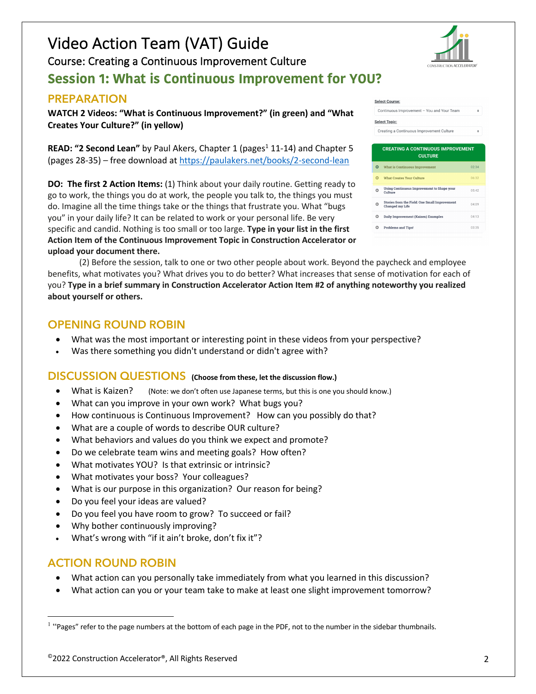# Video Action Team (VAT) Guide Course: Creating a Continuous Improvement Culture **Session 1: What is Continuous Improvement for YOU?**

### **PREPARATION**

**WATCH 2 Videos: "What is Continuous Improvement?" (in green) and "What Creates Your Culture?" (in yellow)**

**READ: "2 Second Lean"** by Paul Akers, Chapter 1 (pages<sup>1</sup> 11-14) and Chapter 5 (pages 28-35) – free download at https://paulakers.net/books/2-second-lean

**DO: The first 2 Action Items:** (1) Think about your daily routine. Getting ready to go to work, the things you do at work, the people you talk to, the things you must do. Imagine all the time things take or the things that frustrate you. What "bugs you" in your daily life? It can be related to work or your personal life. Be very specific and candid. Nothing is too small or too large. **Type in your list in the first Action Item of the Continuous Improvement Topic in Construction Accelerator or upload your document there.**

(2) Before the session, talk to one or two other people about work. Beyond the paycheck and employee benefits, what motivates you? What drives you to do better? What increases that sense of motivation for each of you? **Type in a brief summary in Construction Accelerator Action Item #2 of anything noteworthy you realized about yourself or others.**

### **OPENING ROUND ROBIN**

- What was the most important or interesting point in these videos from your perspective?
- Was there something you didn't understand or didn't agree with?

#### **DISCUSSION QUESTIONS (Choose from these, let the discussion flow.)**

- What is Kaizen? (Note: we don't often use Japanese terms, but this is one you should know.)
- What can you improve in your own work? What bugs you?
- How continuous is Continuous Improvement? How can you possibly do that?
- What are a couple of words to describe OUR culture?
- What behaviors and values do you think we expect and promote?
- Do we celebrate team wins and meeting goals? How often?
- What motivates YOU? Is that extrinsic or intrinsic?
- What motivates your boss? Your colleagues?
- What is our purpose in this organization? Our reason for being?
- Do you feel your ideas are valued?
- Do you feel you have room to grow? To succeed or fail?
- Why bother continuously improving?
- What's wrong with "if it ain't broke, don't fix it"?

### **ACTION ROUND ROBIN**

- What action can you personally take immediately from what you learned in this discussion?
- What action can you or your team take to make at least one slight improvement tomorrow?



|   | Continuous Improvement - You and Your Team                       | ۵     |
|---|------------------------------------------------------------------|-------|
|   | elect Topic:                                                     |       |
|   | Creating a Continuous Improvement Culture                        | ٠     |
|   |                                                                  |       |
|   | <b>CREATING A CONTINUOUS IMPROVEMENT</b><br><b>CULTURE</b>       |       |
| D | <b>What is Continuous Improvement</b>                            | 02:34 |
| D | <b>What Creates Your Culture</b>                                 | 06:32 |
| D | Using Continuous Improvement to Shape your<br>Culture            | 05:42 |
| ٥ | Stories from the Field: One Small Improvement<br>Changed my Life | 04:09 |
| d | <b>Daily Improvement (Kaizen) Examples</b>                       | 04:13 |
| D | <b>Problems and Tips!</b>                                        | 03:35 |

**Select Course** 

 $1$  "Pages" refer to the page numbers at the bottom of each page in the PDF, not to the number in the sidebar thumbnails.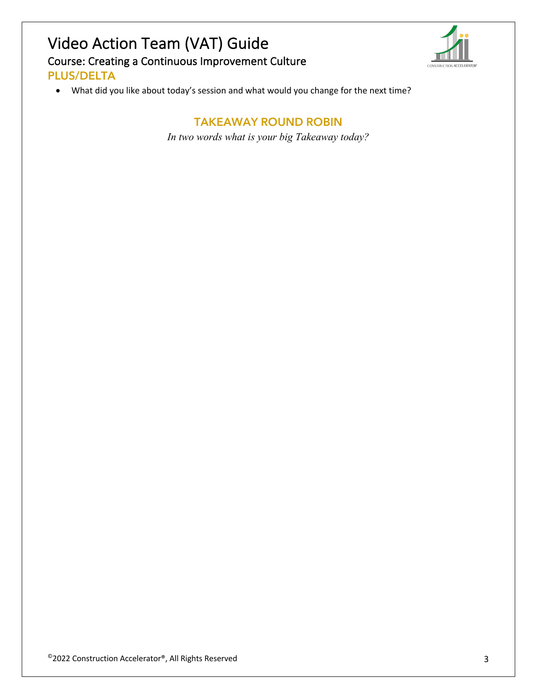# Video Action Team (VAT) Guide Course: Creating a Continuous Improvement Culture **PLUS/DELTA**



• What did you like about today's session and what would you change for the next time?

**TAKEAWAY ROUND ROBIN** *In two words what is your big Takeaway today?*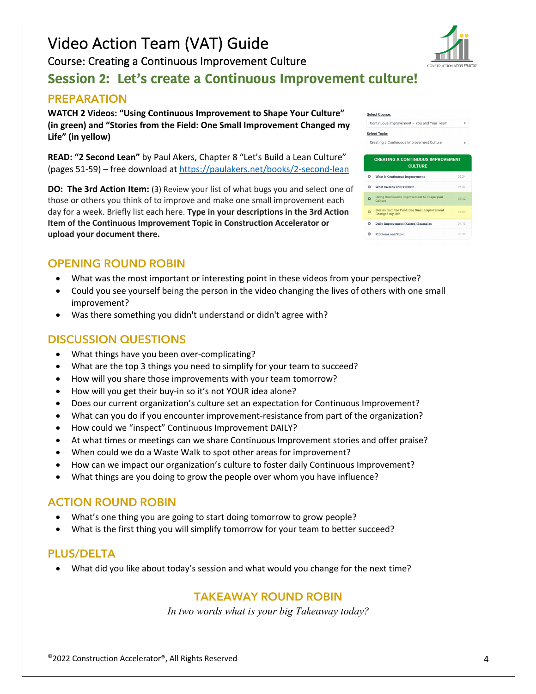$^\circ$ 2022 Construction Accelerator®, All Rights Reserved 4  $^4$ 

# Video Action Team (VAT) Guide

Course: Creating a Continuous Improvement Culture

### **Session 2: Let's create a Continuous Improvement culture!**

### **PREPARATION**

**WATCH 2 Videos: "Using Continuous Improvement to Shape Your Culture" (in green) and "Stories from the Field: One Small Improvement Changed my Life" (in yellow)**

**READ: "2 Second Lean"** by Paul Akers, Chapter 8 "Let's Build a Lean Culture" (pages 51-59) – free download at https://paulakers.net/books/2-second-lean

**DO: The 3rd Action Item:** (3) Review your list of what bugs you and select one of those or others you think of to improve and make one small improvement each day for a week. Briefly list each here. **Type in your descriptions in the 3rd Action Item of the Continuous Improvement Topic in Construction Accelerator or upload your document there.**

### **OPENING ROUND ROBIN**

- What was the most important or interesting point in these videos from your perspective?
- Could you see yourself being the person in the video changing the lives of others with one small improvement?
- Was there something you didn't understand or didn't agree with?

### **DISCUSSION QUESTIONS**

- What things have you been over-complicating?
- What are the top 3 things you need to simplify for your team to succeed?
- How will you share those improvements with your team tomorrow?
- How will you get their buy-in so it's not YOUR idea alone?
- Does our current organization's culture set an expectation for Continuous Improvement?
- What can you do if you encounter improvement-resistance from part of the organization?
- How could we "inspect" Continuous Improvement DAILY?
- At what times or meetings can we share Continuous Improvement stories and offer praise?
- When could we do a Waste Walk to spot other areas for improvement?
- How can we impact our organization's culture to foster daily Continuous Improvement?
- What things are you doing to grow the people over whom you have influence?

### **ACTION ROUND ROBIN**

- What's one thing you are going to start doing tomorrow to grow people?
- What is the first thing you will simplify tomorrow for your team to better succeed?

### **PLUS/DELTA**

• What did you like about today's session and what would you change for the next time?

### **TAKEAWAY ROUND ROBIN**

*In two words what is your big Takeaway today?*



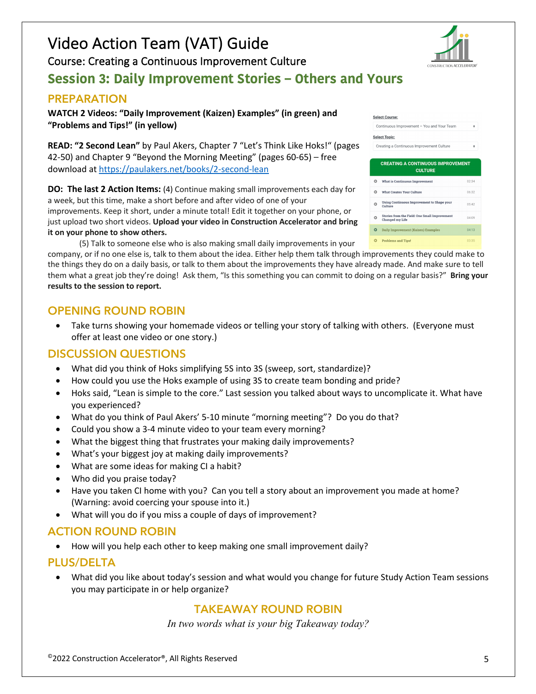# Video Action Team (VAT) Guide

Course: Creating a Continuous Improvement Culture

### **Session 3: Daily Improvement Stories – Others and Yours**

### **PREPARATION**

**WATCH 2 Videos: "Daily Improvement (Kaizen) Examples" (in green) and "Problems and Tips!" (in yellow)**

**READ: "2 Second Lean"** by Paul Akers, Chapter 7 "Let's Think Like Hoks!" (pages 42-50) and Chapter 9 "Beyond the Morning Meeting" (pages 60-65) – free download at https://paulakers.net/books/2-second-lean

**DO: The last 2 Action Items:** (4) Continue making small improvements each day for a week, but this time, make a short before and after video of one of your improvements. Keep it short, under a minute total! Edit it together on your phone, or just upload two short videos. **Upload your video in Construction Accelerator and bring it on your phone to show others.**

(5) Talk to someone else who is also making small daily improvements in your

company, or if no one else is, talk to them about the idea. Either help them talk through improvements they could make to the things they do on a daily basis, or talk to them about the improvements they have already made. And make sure to tell them what a great job they're doing! Ask them, "Is this something you can commit to doing on a regular basis?" **Bring your results to the session to report.**

### **OPENING ROUND ROBIN**

• Take turns showing your homemade videos or telling your story of talking with others. (Everyone must offer at least one video or one story.)

### **DISCUSSION QUESTIONS**

- What did you think of Hoks simplifying 5S into 3S (sweep, sort, standardize)?
- How could you use the Hoks example of using 3S to create team bonding and pride?
- Hoks said, "Lean is simple to the core." Last session you talked about ways to uncomplicate it. What have you experienced?
- What do you think of Paul Akers' 5-10 minute "morning meeting"? Do you do that?
- Could you show a 3-4 minute video to your team every morning?
- What the biggest thing that frustrates your making daily improvements?
- What's your biggest joy at making daily improvements?
- What are some ideas for making CI a habit?
- Who did you praise today?
- Have you taken CI home with you? Can you tell a story about an improvement you made at home? (Warning: avoid coercing your spouse into it.)
- What will you do if you miss a couple of days of improvement?

### **ACTION ROUND ROBIN**

• How will you help each other to keep making one small improvement daily?

#### **PLUS/DELTA**

• What did you like about today's session and what would you change for future Study Action Team sessions you may participate in or help organize?

### **TAKEAWAY ROUND ROBIN**

*In two words what is your big Takeaway today?*